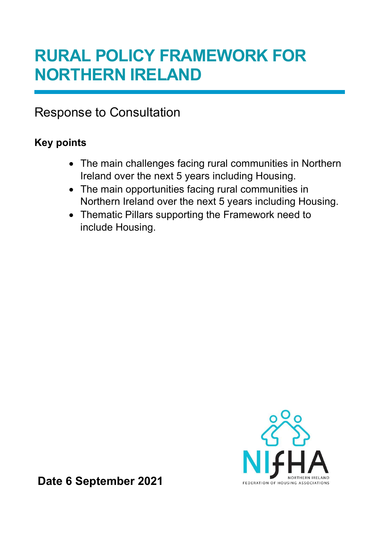# RURAL POLICY FRAMEWORK FOR NORTHERN IRELAND

Response to Consultation

## Key points

- The main challenges facing rural communities in Northern Ireland over the next 5 years including Housing.
- The main opportunities facing rural communities in Northern Ireland over the next 5 years including Housing.
- Thematic Pillars supporting the Framework need to include Housing.



Date 6 September 2021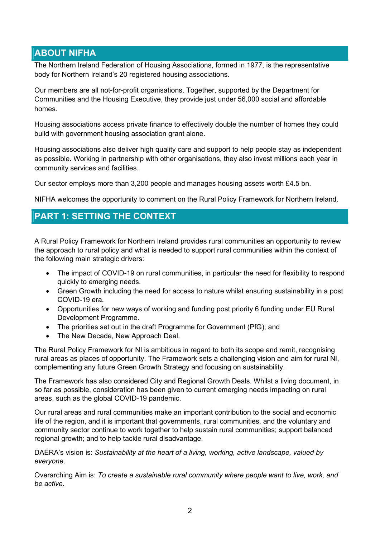#### ABOUT NIFHA

The Northern Ireland Federation of Housing Associations, formed in 1977, is the representative body for Northern Ireland's 20 registered housing associations.

Our members are all not-for-profit organisations. Together, supported by the Department for Communities and the Housing Executive, they provide just under 56,000 social and affordable homes.

Housing associations access private finance to effectively double the number of homes they could build with government housing association grant alone.

Housing associations also deliver high quality care and support to help people stay as independent as possible. Working in partnership with other organisations, they also invest millions each year in community services and facilities.

Our sector employs more than 3,200 people and manages housing assets worth £4.5 bn.

NIFHA welcomes the opportunity to comment on the Rural Policy Framework for Northern Ireland.

#### PART 1: SETTING THE CONTEXT

A Rural Policy Framework for Northern Ireland provides rural communities an opportunity to review the approach to rural policy and what is needed to support rural communities within the context of the following main strategic drivers:

- The impact of COVID-19 on rural communities, in particular the need for flexibility to respond quickly to emerging needs.
- Green Growth including the need for access to nature whilst ensuring sustainability in a post COVID-19 era.
- Opportunities for new ways of working and funding post priority 6 funding under EU Rural Development Programme.
- The priorities set out in the draft Programme for Government (PfG); and
- The New Decade, New Approach Deal.

The Rural Policy Framework for NI is ambitious in regard to both its scope and remit, recognising rural areas as places of opportunity. The Framework sets a challenging vision and aim for rural NI, complementing any future Green Growth Strategy and focusing on sustainability.

The Framework has also considered City and Regional Growth Deals. Whilst a living document, in so far as possible, consideration has been given to current emerging needs impacting on rural areas, such as the global COVID-19 pandemic.

Our rural areas and rural communities make an important contribution to the social and economic life of the region, and it is important that governments, rural communities, and the voluntary and community sector continue to work together to help sustain rural communities; support balanced regional growth; and to help tackle rural disadvantage.

DAERA's vision is: Sustainability at the heart of a living, working, active landscape, valued by everyone.

Overarching Aim is: To create a sustainable rural community where people want to live, work, and be active.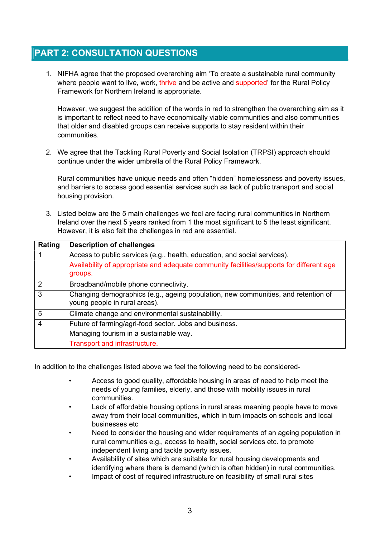### PART 2: CONSULTATION QUESTIONS

1. NIFHA agree that the proposed overarching aim 'To create a sustainable rural community where people want to live, work, thrive and be active and supported' for the Rural Policy Framework for Northern Ireland is appropriate.

However, we suggest the addition of the words in red to strengthen the overarching aim as it is important to reflect need to have economically viable communities and also communities that older and disabled groups can receive supports to stay resident within their communities.

2. We agree that the Tackling Rural Poverty and Social Isolation (TRPSI) approach should continue under the wider umbrella of the Rural Policy Framework.

Rural communities have unique needs and often "hidden" homelessness and poverty issues, and barriers to access good essential services such as lack of public transport and social housing provision.

3. Listed below are the 5 main challenges we feel are facing rural communities in Northern Ireland over the next 5 years ranked from 1 the most significant to 5 the least significant. However, it is also felt the challenges in red are essential.

| Rating        | <b>Description of challenges</b>                                                                                   |
|---------------|--------------------------------------------------------------------------------------------------------------------|
|               | Access to public services (e.g., health, education, and social services).                                          |
|               | Availability of appropriate and adequate community facilities/supports for different age<br>groups.                |
| $\mathcal{P}$ | Broadband/mobile phone connectivity.                                                                               |
| 3             | Changing demographics (e.g., ageing population, new communities, and retention of<br>young people in rural areas). |
| 5             | Climate change and environmental sustainability.                                                                   |
| 4             | Future of farming/agri-food sector. Jobs and business.                                                             |
|               | Managing tourism in a sustainable way.                                                                             |
|               | Transport and infrastructure.                                                                                      |

In addition to the challenges listed above we feel the following need to be considered-

- Access to good quality, affordable housing in areas of need to help meet the needs of young families, elderly, and those with mobility issues in rural communities.
- Lack of affordable housing options in rural areas meaning people have to move away from their local communities, which in turn impacts on schools and local businesses etc
- Need to consider the housing and wider requirements of an ageing population in rural communities e.g., access to health, social services etc. to promote independent living and tackle poverty issues.
- Availability of sites which are suitable for rural housing developments and identifying where there is demand (which is often hidden) in rural communities.
- Impact of cost of required infrastructure on feasibility of small rural sites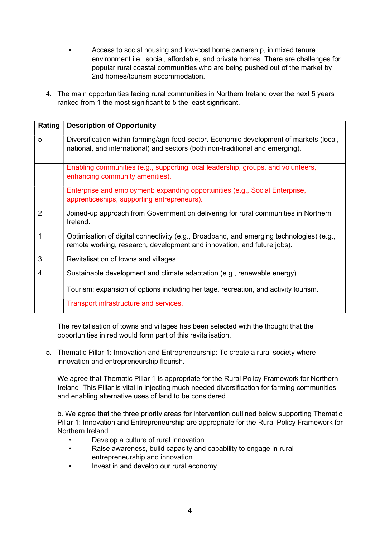- Access to social housing and low-cost home ownership, in mixed tenure environment i.e., social, affordable, and private homes. There are challenges for popular rural coastal communities who are being pushed out of the market by 2nd homes/tourism accommodation.
- 4. The main opportunities facing rural communities in Northern Ireland over the next 5 years ranked from 1 the most significant to 5 the least significant.

| Rating | <b>Description of Opportunity</b>                                                                                                                                         |
|--------|---------------------------------------------------------------------------------------------------------------------------------------------------------------------------|
| 5      | Diversification within farming/agri-food sector. Economic development of markets (local,<br>national, and international) and sectors (both non-traditional and emerging). |
|        | Enabling communities (e.g., supporting local leadership, groups, and volunteers,<br>enhancing community amenities).                                                       |
|        | Enterprise and employment: expanding opportunities (e.g., Social Enterprise,<br>apprenticeships, supporting entrepreneurs).                                               |
| 2      | Joined-up approach from Government on delivering for rural communities in Northern<br>Ireland.                                                                            |
| 1      | Optimisation of digital connectivity (e.g., Broadband, and emerging technologies) (e.g.,<br>remote working, research, development and innovation, and future jobs).       |
| 3      | Revitalisation of towns and villages.                                                                                                                                     |
| 4      | Sustainable development and climate adaptation (e.g., renewable energy).                                                                                                  |
|        | Tourism: expansion of options including heritage, recreation, and activity tourism.                                                                                       |
|        | Transport infrastructure and services.                                                                                                                                    |

The revitalisation of towns and villages has been selected with the thought that the opportunities in red would form part of this revitalisation.

5. Thematic Pillar 1: Innovation and Entrepreneurship: To create a rural society where innovation and entrepreneurship flourish.

We agree that Thematic Pillar 1 is appropriate for the Rural Policy Framework for Northern Ireland. This Pillar is vital in injecting much needed diversification for farming communities and enabling alternative uses of land to be considered.

b. We agree that the three priority areas for intervention outlined below supporting Thematic Pillar 1: Innovation and Entrepreneurship are appropriate for the Rural Policy Framework for Northern Ireland.

- Develop a culture of rural innovation.
- Raise awareness, build capacity and capability to engage in rural entrepreneurship and innovation
- Invest in and develop our rural economy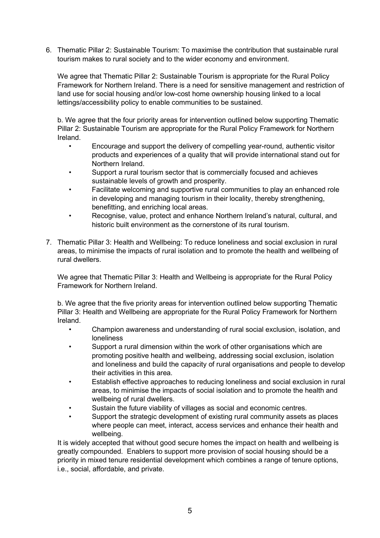6. Thematic Pillar 2: Sustainable Tourism: To maximise the contribution that sustainable rural tourism makes to rural society and to the wider economy and environment.

We agree that Thematic Pillar 2: Sustainable Tourism is appropriate for the Rural Policy Framework for Northern Ireland. There is a need for sensitive management and restriction of land use for social housing and/or low-cost home ownership housing linked to a local lettings/accessibility policy to enable communities to be sustained.

b. We agree that the four priority areas for intervention outlined below supporting Thematic Pillar 2: Sustainable Tourism are appropriate for the Rural Policy Framework for Northern Ireland.

- Encourage and support the delivery of compelling year-round, authentic visitor products and experiences of a quality that will provide international stand out for Northern Ireland.
- Support a rural tourism sector that is commercially focused and achieves sustainable levels of growth and prosperity.
- Facilitate welcoming and supportive rural communities to play an enhanced role in developing and managing tourism in their locality, thereby strengthening, benefitting, and enriching local areas.
- Recognise, value, protect and enhance Northern Ireland's natural, cultural, and historic built environment as the cornerstone of its rural tourism.
- 7. Thematic Pillar 3: Health and Wellbeing: To reduce loneliness and social exclusion in rural areas, to minimise the impacts of rural isolation and to promote the health and wellbeing of rural dwellers.

We agree that Thematic Pillar 3: Health and Wellbeing is appropriate for the Rural Policy Framework for Northern Ireland.

b. We agree that the five priority areas for intervention outlined below supporting Thematic Pillar 3: Health and Wellbeing are appropriate for the Rural Policy Framework for Northern Ireland.

- Champion awareness and understanding of rural social exclusion, isolation, and loneliness
- Support a rural dimension within the work of other organisations which are promoting positive health and wellbeing, addressing social exclusion, isolation and loneliness and build the capacity of rural organisations and people to develop their activities in this area.
- Establish effective approaches to reducing loneliness and social exclusion in rural areas, to minimise the impacts of social isolation and to promote the health and wellbeing of rural dwellers.
- Sustain the future viability of villages as social and economic centres.
- Support the strategic development of existing rural community assets as places where people can meet, interact, access services and enhance their health and wellbeing.

It is widely accepted that without good secure homes the impact on health and wellbeing is greatly compounded. Enablers to support more provision of social housing should be a priority in mixed tenure residential development which combines a range of tenure options, i.e., social, affordable, and private.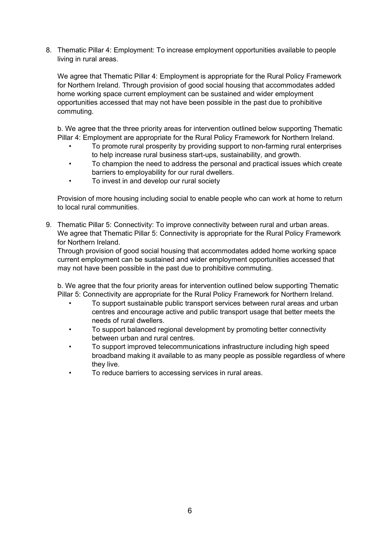8. Thematic Pillar 4: Employment: To increase employment opportunities available to people living in rural areas.

We agree that Thematic Pillar 4: Employment is appropriate for the Rural Policy Framework for Northern Ireland. Through provision of good social housing that accommodates added home working space current employment can be sustained and wider employment opportunities accessed that may not have been possible in the past due to prohibitive commuting.

b. We agree that the three priority areas for intervention outlined below supporting Thematic Pillar 4: Employment are appropriate for the Rural Policy Framework for Northern Ireland.

- To promote rural prosperity by providing support to non-farming rural enterprises to help increase rural business start-ups, sustainability, and growth.
- To champion the need to address the personal and practical issues which create barriers to employability for our rural dwellers.
- To invest in and develop our rural society

Provision of more housing including social to enable people who can work at home to return to local rural communities.

9. Thematic Pillar 5: Connectivity: To improve connectivity between rural and urban areas. We agree that Thematic Pillar 5: Connectivity is appropriate for the Rural Policy Framework for Northern Ireland.

Through provision of good social housing that accommodates added home working space current employment can be sustained and wider employment opportunities accessed that may not have been possible in the past due to prohibitive commuting.

b. We agree that the four priority areas for intervention outlined below supporting Thematic Pillar 5: Connectivity are appropriate for the Rural Policy Framework for Northern Ireland.

- To support sustainable public transport services between rural areas and urban centres and encourage active and public transport usage that better meets the needs of rural dwellers.
- To support balanced regional development by promoting better connectivity between urban and rural centres.
- To support improved telecommunications infrastructure including high speed broadband making it available to as many people as possible regardless of where they live.
- To reduce barriers to accessing services in rural areas.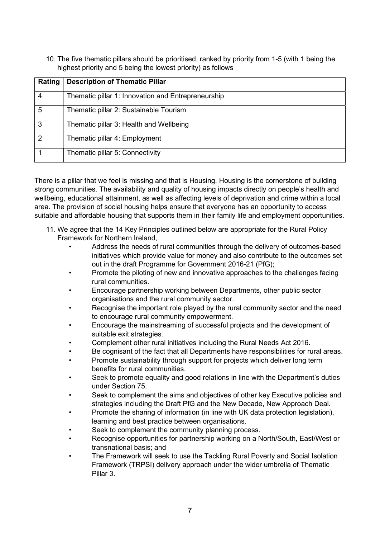10. The five thematic pillars should be prioritised, ranked by priority from 1-5 (with 1 being the highest priority and 5 being the lowest priority) as follows

| Rating        | <b>Description of Thematic Pillar</b>              |
|---------------|----------------------------------------------------|
|               | Thematic pillar 1: Innovation and Entrepreneurship |
| 5             | Thematic pillar 2: Sustainable Tourism             |
| 3             | Thematic pillar 3: Health and Wellbeing            |
| $\mathcal{P}$ | Thematic pillar 4: Employment                      |
|               | Thematic pillar 5: Connectivity                    |

There is a pillar that we feel is missing and that is Housing. Housing is the cornerstone of building strong communities. The availability and quality of housing impacts directly on people's health and wellbeing, educational attainment, as well as affecting levels of deprivation and crime within a local area. The provision of social housing helps ensure that everyone has an opportunity to access suitable and affordable housing that supports them in their family life and employment opportunities.

- 11. We agree that the 14 Key Principles outlined below are appropriate for the Rural Policy Framework for Northern Ireland,
	- Address the needs of rural communities through the delivery of outcomes-based initiatives which provide value for money and also contribute to the outcomes set out in the draft Programme for Government 2016-21 (PfG);
	- Promote the piloting of new and innovative approaches to the challenges facing rural communities.
	- Encourage partnership working between Departments, other public sector organisations and the rural community sector.
	- Recognise the important role played by the rural community sector and the need to encourage rural community empowerment.
	- Encourage the mainstreaming of successful projects and the development of suitable exit strategies.
	- Complement other rural initiatives including the Rural Needs Act 2016.
	- Be cognisant of the fact that all Departments have responsibilities for rural areas.
	- Promote sustainability through support for projects which deliver long term benefits for rural communities.
	- Seek to promote equality and good relations in line with the Department's duties under Section 75.
	- Seek to complement the aims and objectives of other key Executive policies and strategies including the Draft PfG and the New Decade, New Approach Deal.
	- Promote the sharing of information (in line with UK data protection legislation), learning and best practice between organisations.
	- Seek to complement the community planning process.
	- Recognise opportunities for partnership working on a North/South, East/West or transnational basis; and
	- The Framework will seek to use the Tackling Rural Poverty and Social Isolation Framework (TRPSI) delivery approach under the wider umbrella of Thematic Pillar 3.